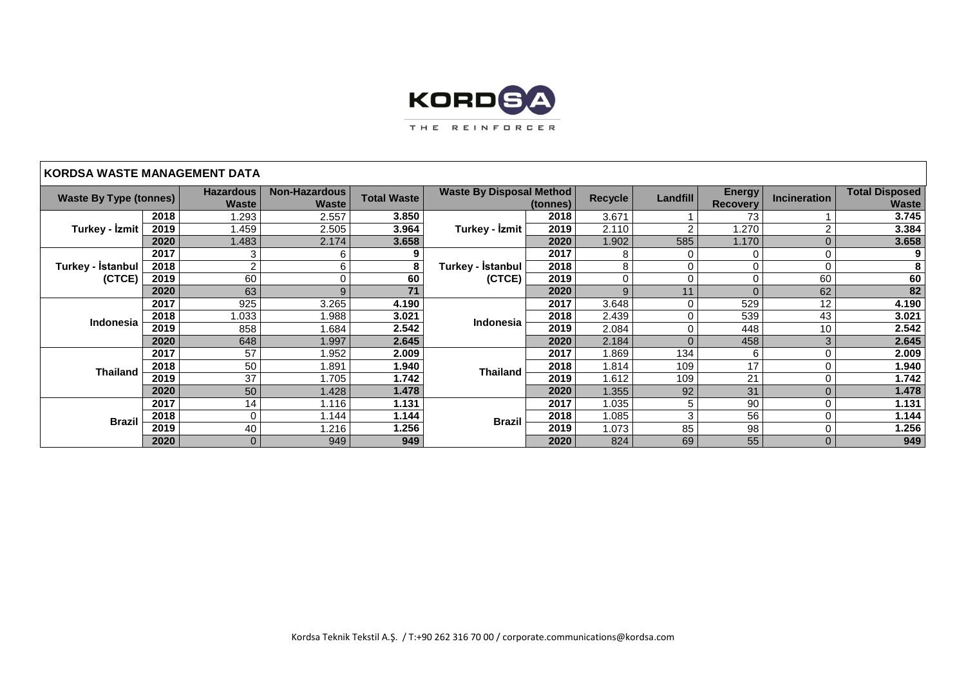

## **KORDSA WASTE MANAGEMENT DATA**

| <b>Waste By Type (tonnes)</b> |      | <b>Hazardous</b> | <b>Non-Hazardous</b><br><b>Total Waste</b> |       | <b>Waste By Disposal Method</b> |      | Recycle | Landfill | <b>Energy</b>   | <b>Incineration</b> | <b>Total Disposed</b> |
|-------------------------------|------|------------------|--------------------------------------------|-------|---------------------------------|------|---------|----------|-----------------|---------------------|-----------------------|
|                               |      | <b>Waste</b>     | <b>Waste</b>                               |       | (tonnes)                        |      |         |          | <b>Recovery</b> |                     | <b>Waste</b>          |
| Turkey - İzmit                | 2018 | 1.293            | 2.557                                      | 3.850 | Turkey - Izmit                  | 2018 | 3.671   |          | 73              |                     | 3.745                 |
|                               | 2019 | l .459           | 2.505                                      | 3.964 |                                 | 2019 | 2.110   | 2        | 1.270           | ◠                   | 3.384                 |
|                               | 2020 | 1.483            | 2.174                                      | 3.658 |                                 | 2020 | 1.902   | 585      | 1.170           | $\Omega$            | 3.658                 |
| Turkey - Istanbul  <br>(CTCE) | 2017 | 3                | 6                                          |       | Turkey - İstanbul<br>(CTCE)     | 2017 | 8       | 0        | 0               | 0                   | 9                     |
|                               | 2018 | $\overline{2}$   | 6                                          |       |                                 | 2018 | 8       | 0        | 0               | $\Omega$            | 8                     |
|                               | 2019 | 60               |                                            | 60    |                                 | 2019 | 0       | 0        | 0               | 60                  | 60                    |
|                               | 2020 | 63               | 9                                          | 71    |                                 | 2020 | 9       | 11       | $\overline{0}$  | 62                  | 82                    |
|                               | 2017 | 925              | 3.265                                      | 4.190 | Indonesia                       | 2017 | 3.648   | 0        | 529             | 12                  | 4.190                 |
| Indonesia                     | 2018 | 1.033            | 1.988                                      | 3.021 |                                 | 2018 | 2.439   | $\Omega$ | 539             | 43                  | 3.021                 |
|                               | 2019 | 858              | 1.684                                      | 2.542 |                                 | 2019 | 2.084   | 0        | 448             | 10                  | 2.542                 |
|                               | 2020 | 648              | 1.997                                      | 2.645 |                                 | 2020 | 2.184   | 0        | 458             | 3                   | 2.645                 |
|                               | 2017 | 57               | 1.952                                      | 2.009 | <b>Thailand</b>                 | 2017 | 1.869   | 134      | 6               | 0                   | 2.009                 |
| <b>Thailand</b>               | 2018 | 50               | 1.891                                      | 1.940 |                                 | 2018 | 1.814   | 109      | 17              | $\Omega$            | 1.940                 |
|                               | 2019 | 37               | 1.705                                      | 1.742 |                                 | 2019 | 1.612   | 109      | 21              | 0                   | 1.742                 |
|                               | 2020 | 50               | 1.428                                      | 1.478 |                                 | 2020 | 1.355   | 92       | 31              | $\Omega$            | 1.478                 |
| <b>Brazil</b>                 | 2017 | 14               | 1.116                                      | 1.131 | <b>Brazil</b>                   | 2017 | 1.035   | 5        | 90              | 0                   | 1.131                 |
|                               | 2018 | $\Omega$         | 1.144                                      | 1.144 |                                 | 2018 | 1.085   | 3        | 56              | $\Omega$            | 1.144                 |
|                               | 2019 | 40               | 1.216                                      | 1.256 |                                 | 2019 | 1.073   | 85       | 98              | $\Omega$            | 1.256                 |
|                               | 2020 | $\Omega$         | 949                                        | 949   |                                 | 2020 | 824     | 69       | 55              | $\Omega$            | 949                   |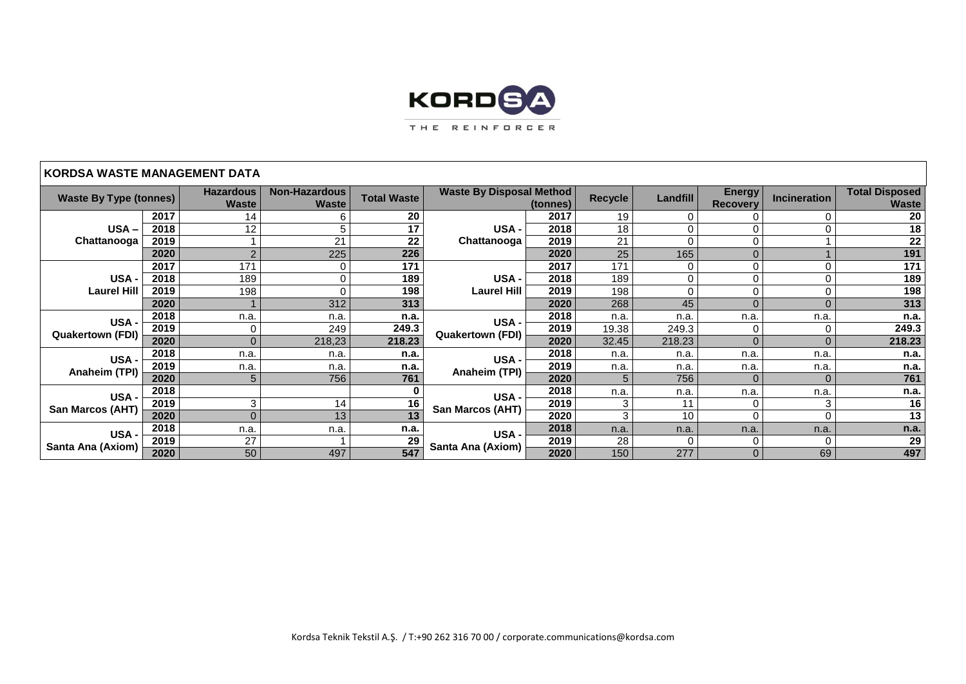

## **KORDSA WASTE MANAGEMENT DATA**

| <b>Waste By Type (tonnes)</b>   |      | <b>Hazardous</b> | <b>Non-Hazardous</b> | <b>Total Waste</b> | <b>Waste By Disposal Method</b> |      | <b>Recycle</b> | Landfill | <b>Energy</b>   | <b>Incineration</b> | <b>Total Disposed</b> |
|---------------------------------|------|------------------|----------------------|--------------------|---------------------------------|------|----------------|----------|-----------------|---------------------|-----------------------|
|                                 |      | <b>Waste</b>     | <b>Waste</b>         |                    | (tonnes)                        |      |                |          | <b>Recovery</b> |                     | <b>Waste</b>          |
|                                 | 2017 | 14               | 6                    | 20                 |                                 | 2017 | 19             |          | 0               |                     | 20                    |
| USA-<br>Chattanooga             | 2018 | 12               | 5                    | 17                 | USA -<br>Chattanooga            | 2018 | 18             | 0        | $\Omega$        | $\Omega$            | 18                    |
|                                 | 2019 |                  | 21                   | $\overline{22}$    |                                 | 2019 | 21             | $\Omega$ | $\Omega$        |                     | $\overline{22}$       |
|                                 | 2020 |                  | 225                  | 226                |                                 | 2020 | 25             | 165      | $\overline{0}$  |                     | 191                   |
|                                 | 2017 | 171              | $\Omega$             | 171                | USA -<br><b>Laurel Hill</b>     | 2017 | 171            | 0        | 0               | $\Omega$            | $\overline{171}$      |
| USA-                            | 2018 | 189              | $\bigcap$            | 189                |                                 | 2018 | 189            | 0        | 0               | $\Omega$            | 189                   |
| <b>Laurel Hill</b>              | 2019 | 198              |                      | 198                |                                 | 2019 | 198            |          | 0               |                     | 198                   |
|                                 | 2020 |                  | 312                  | 313                |                                 | 2020 | 268            | 45       | $\Omega$        | $\Omega$            | 313                   |
| USA-<br><b>Quakertown (FDI)</b> | 2018 | n.a.             | n.a.                 | n.a.               | USA-<br><b>Quakertown (FDI)</b> | 2018 | n.a.           | n.a.     | n.a.            | n.a.                | n.a.                  |
|                                 | 2019 |                  | 249                  | 249.3              |                                 | 2019 | 19.38          | 249.3    |                 |                     | 249.3                 |
|                                 | 2020 |                  | 218,23               | 218.23             |                                 | 2020 | 32.45          | 218.23   | $\Omega$        |                     | 218.23                |
| USA-<br>Anaheim (TPI)           | 2018 | n.a              | n.a.                 | n.a.               | USA-<br>Anaheim (TPI)           | 2018 | n.a.           | n.a.     | n.a.            | n.a.                | n.a.                  |
|                                 | 2019 | n.a.             | n.a.                 | n.a.               |                                 | 2019 | n.a.           | n.a.     | n.a.            | n.a.                | n.a.                  |
|                                 | 2020 | 5                | 756                  | 761                |                                 | 2020 | 5              | 756      |                 | $\Omega$            | 761                   |
|                                 | 2018 |                  |                      |                    | USA -<br>San Marcos (AHT)       | 2018 | n.a.           | n.a.     | n.a.            | n.a.                | n.a.                  |
| USA-<br>San Marcos (AHT)        | 2019 | 3                | 14                   | 16                 |                                 | 2019 | 3              | 11       | 0               | 3                   | 16                    |
|                                 | 2020 | $\Omega$         | 13                   | 13                 |                                 | 2020 | 3              | 10       | $\Omega$        | $\Omega$            | 13                    |
| USA-<br>Santa Ana (Axiom)       | 2018 | n.a.             | n.a.                 | n.a.               | USA-<br>Santa Ana (Axiom)       | 2018 | n.a.           | n.a.     | n.a.            | n.a.                | n.a.                  |
|                                 | 2019 | 27               |                      | 29                 |                                 | 2019 | 28             | 0        | 0               | $\Omega$            | 29                    |
|                                 | 2020 | 50               | 497                  | 547                |                                 | 2020 | 150            | 277      | $\pmb{0}$       | 69                  | 497                   |